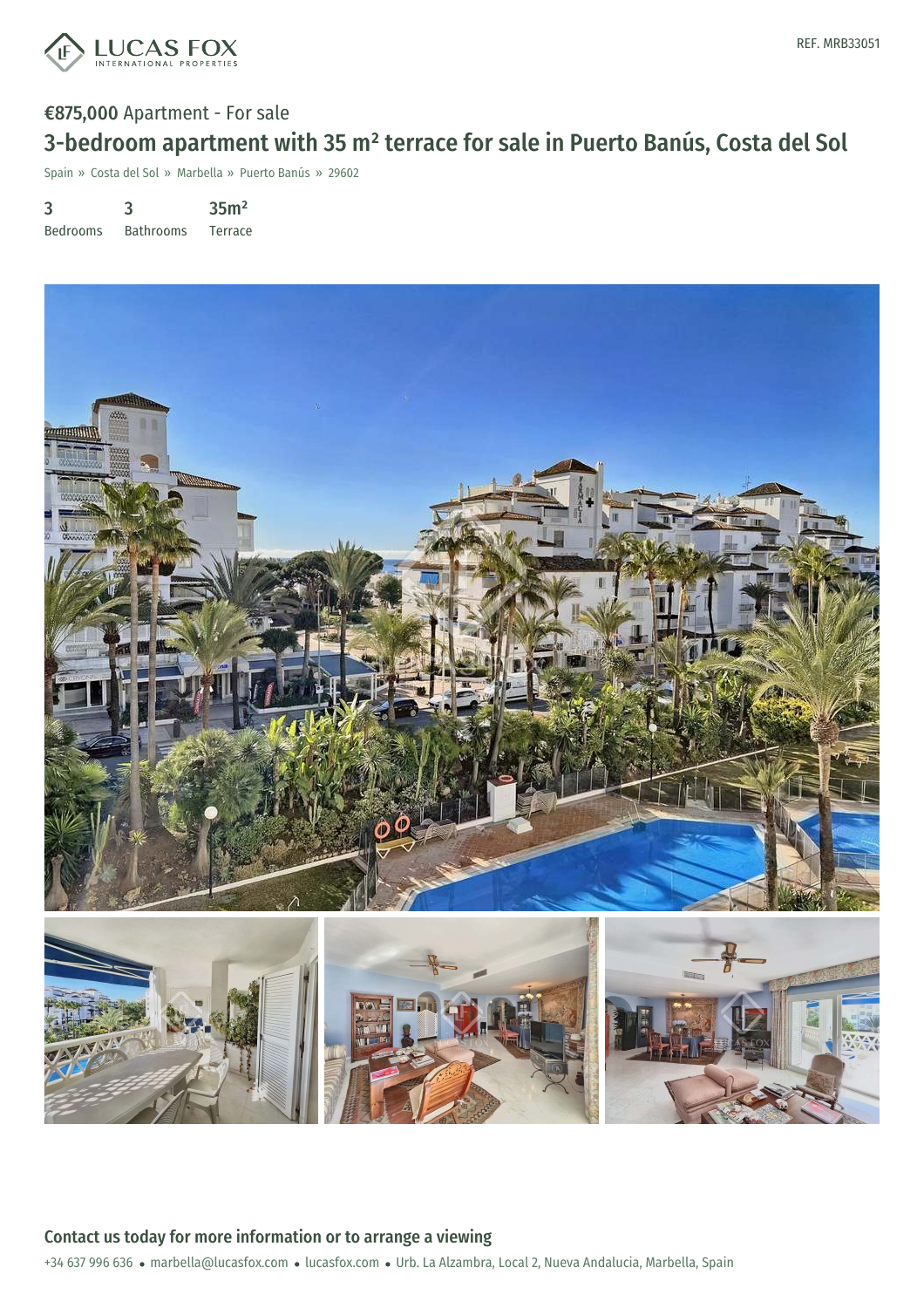

# €875,000 Apartment - For sale 3-bedroom apartment with 35 m² terrace for sale in Puerto Banús, Costa del Sol

Spain » Costa del Sol » Marbella » Puerto Banús » 29602

3 Bedrooms 3 Bathrooms 35m² Terrace



+34 637 996 636 · marbella@lucasfox.com · lucasfox.com · Urb. La Alzambra, Local 2, Nueva Andalucia, Marbella, Spain Contact us today for more information or to arrange a viewing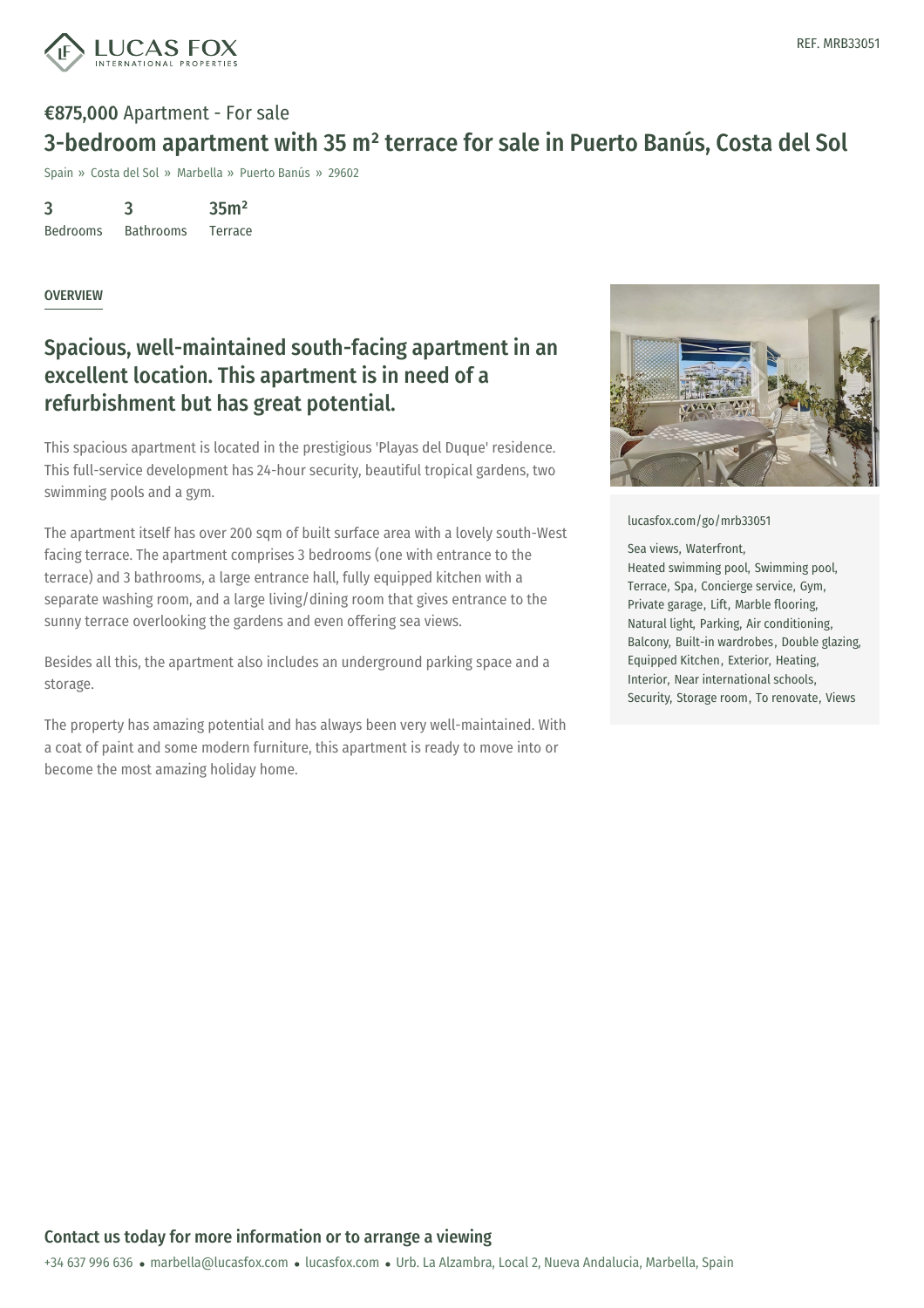

### €875,000 Apartment - For sale 3-bedroom apartment with 35 m² terrace for sale in Puerto Banús, Costa del Sol

Spain » Costa del Sol » Marbella » Puerto Banús » 29602

3 Bedrooms 3 Bathrooms 35m² Terrace

### **OVERVIEW**

### Spacious, well-maintained south-facing apartment in an excellent location. This apartment is in need of a refurbishment but has great potential.

This spacious apartment is located in the prestigious 'Playas del Duque' residence. This full-service development has 24-hour security, beautiful tropical gardens, two swimming pools and a gym.

The apartment itself has over 200 sqm of built surface area with a lovely south-West facing terrace. The apartment comprises 3 bedrooms (one with entrance to the terrace) and 3 bathrooms, a large entrance hall, fully equipped kitchen with a separate washing room, and a large living/dining room that gives entrance to the sunny terrace overlooking the gardens and even offering sea views.

Besides all this, the apartment also includes an underground parking space and a storage.

The property has amazing potential and has always been very well-maintained. With a coat of paint and some modern furniture, this apartment is ready to move into or become the most amazing holiday home.



#### [lucasfox.com/go/mrb33051](https://www.lucasfox.com/go/mrb33051)

#### Sea views, Waterfront,

Heated swimming pool, Swimming pool, Terrace, Spa, Concierge service, Gym, Private garage, Lift, Marble flooring, Natural light, Parking, Air conditioning, Balcony, Built-in wardrobes, Double glazing, Equipped Kitchen, Exterior, Heating, Interior, Near international schools, Security, Storage room, To renovate, Views